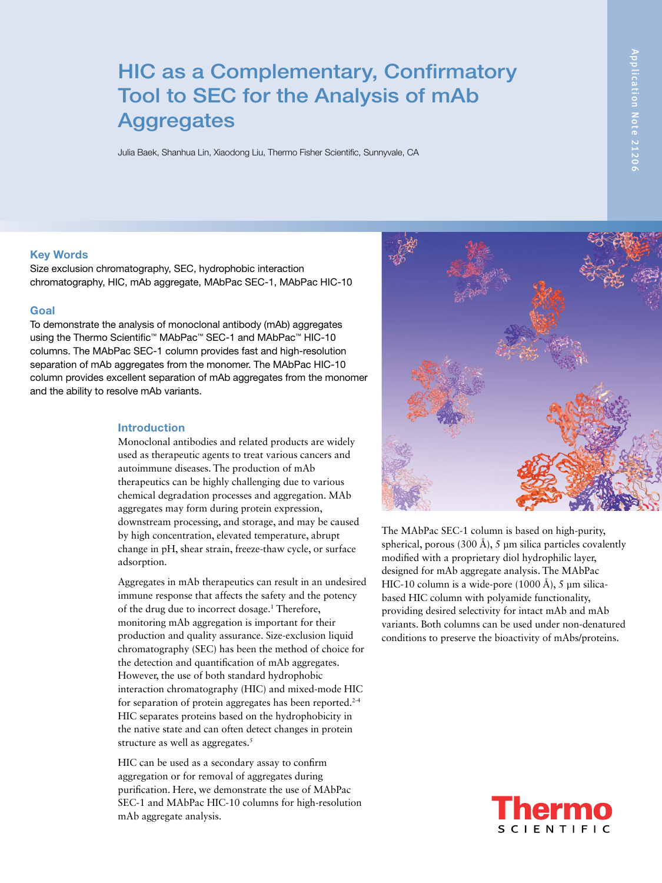# HIC as a Complementary, Confirmatory Tool to SEC for the Analysis of mAb **Aggregates**

Julia Baek, Shanhua Lin, Xiaodong Liu, Thermo Fisher Scientific, Sunnyvale, CA

#### Key Words

Size exclusion chromatography, SEC, hydrophobic interaction chromatography, HIC, mAb aggregate, MAbPac SEC-1, MAbPac HIC-10

#### Goal

To demonstrate the analysis of monoclonal antibody (mAb) aggregates using the Thermo Scientific™ MAbPac™ SEC-1 and MAbPac™ HIC-10 columns. The MAbPac SEC-1 column provides fast and high-resolution separation of mAb aggregates from the monomer. The MAbPac HIC-10 column provides excellent separation of mAb aggregates from the monomer and the ability to resolve mAb variants.

### Introduction

Monoclonal antibodies and related products are widely used as therapeutic agents to treat various cancers and autoimmune diseases. The production of mAb therapeutics can be highly challenging due to various chemical degradation processes and aggregation. MAb aggregates may form during protein expression, downstream processing, and storage, and may be caused by high concentration, elevated temperature, abrupt change in pH, shear strain, freeze-thaw cycle, or surface adsorption.

Aggregates in mAb therapeutics can result in an undesired immune response that affects the safety and the potency of the drug due to incorrect dosage.<sup>1</sup> Therefore, monitoring mAb aggregation is important for their production and quality assurance. Size-exclusion liquid chromatography (SEC) has been the method of choice for the detection and quantification of mAb aggregates. However, the use of both standard hydrophobic interaction chromatography (HIC) and mixed-mode HIC for separation of protein aggregates has been reported.<sup>2-4</sup> HIC separates proteins based on the hydrophobicity in the native state and can often detect changes in protein structure as well as aggregates.<sup>5</sup>

HIC can be used as a secondary assay to confirm aggregation or for removal of aggregates during purification. Here, we demonstrate the use of MAbPac SEC-1 and MAbPac HIC-10 columns for high-resolution mAb aggregate analysis.



The MAbPac SEC-1 column is based on high-purity, spherical, porous  $(300 \text{ Å})$ , 5 µm silica particles covalently modified with a proprietary diol hydrophilic layer, designed for mAb aggregate analysis. The MAbPac HIC-10 column is a wide-pore  $(1000 \text{ Å})$ , 5 µm silicabased HIC column with polyamide functionality, providing desired selectivity for intact mAb and mAb variants. Both columns can be used under non-denatured conditions to preserve the bioactivity of mAbs/proteins.

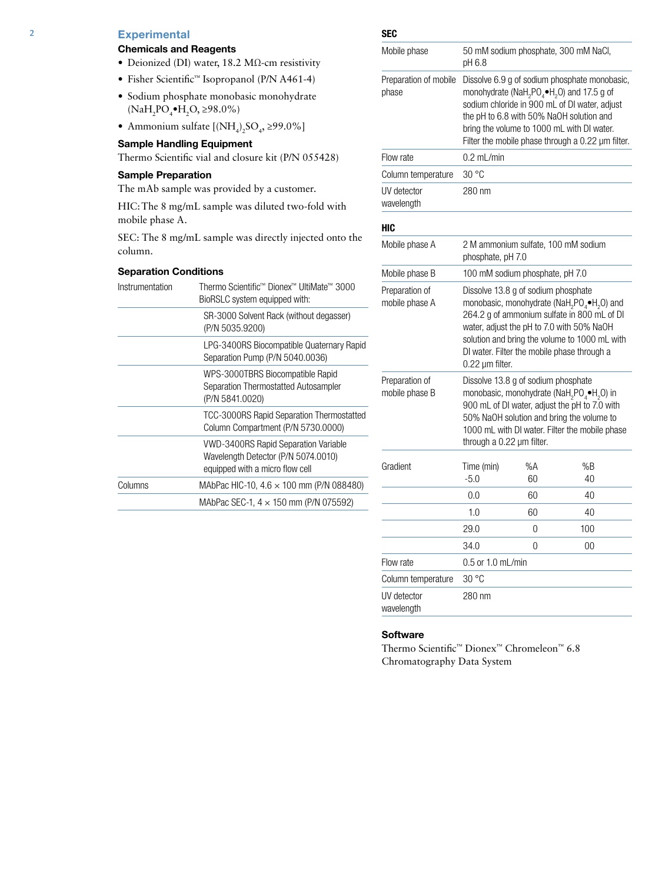# 2 Experimental

#### Chemicals and Reagents

- Deionized (DI) water, 18.2 MΩ-cm resistivity
- Fisher Scientific™ Isopropanol (P/N A461-4)
- Sodium phosphate monobasic monohydrate  $(NaH_2PO_4\bullet H_2O, \geq 98.0\%)$
- Ammonium sulfate  $[(NH<sub>4</sub>)<sub>2</sub>SO<sub>4</sub>, \geq 99.0\%]$

#### Sample Handling Equipment

Thermo Scientific vial and closure kit (P/N 055428)

#### Sample Preparation

The mAb sample was provided by a customer.

HIC:The 8 mg/mL sample was diluted two-fold with mobile phase A.

SEC: The 8 mg/mL sample was directly injected onto the column.

### Separation Conditions

| Instrumentation | Thermo Scientific™ Dionex™ UltiMate™ 3000<br>BioRSLC system equipped with:                                            |
|-----------------|-----------------------------------------------------------------------------------------------------------------------|
|                 | SR-3000 Solvent Rack (without degasser)<br>(P/N 5035.9200)                                                            |
|                 | LPG-3400RS Biocompatible Quaternary Rapid<br>Separation Pump (P/N 5040.0036)                                          |
|                 | WPS-3000TBRS Biocompatible Rapid<br>Separation Thermostatted Autosampler<br>(P/N 5841.0020)                           |
|                 | TCC-3000RS Rapid Separation Thermostatted<br>Column Compartment (P/N 5730.0000)                                       |
|                 | <b>VWD-3400RS Rapid Separation Variable</b><br>Wavelength Detector (P/N 5074.0010)<br>equipped with a micro flow cell |
| Columns         | MAbPac HIC-10, 4.6 $\times$ 100 mm (P/N 088480)                                                                       |
|                 | MAbPac SEC-1, $4 \times 150$ mm (P/N 075592)                                                                          |

# SEC Mobile phase 50 mM sodium phosphate, 300 mM NaCl, pH 6.8 Preparation of mobile Dissolve 6.9 g of sodium phosphate monobasic, phase monohydrate (NaH<sub>2</sub>PO<sub>4</sub> $\blacktriangleright$ H<sub>2</sub>O) and 17.5 g of sodium chloride in 900 mL of DI water, adjust the pH to 6.8 with 50% NaOH solution and bring the volume to 1000 mL with DI water. Filter the mobile phase through a 0.22  $\mu$ m filter. Flow rate 0.2 mL/min Column temperature 30 °C UV detector 280 nm wavelength HIC Mobile phase A 2 M ammonium sulfate, 100 mM sodium phosphate, pH 7.0 Mobile phase B 100 mM sodium phosphate, pH 7.0 Preparation of Dissolve 13.8 g of sodium phosphate mobile phase A monobasic, monohydrate (NaH<sub>2</sub>PO<sub>4</sub> $\blacktriangleright$ H<sub>2</sub>O) and 264.2 g of ammonium sulfate in 800 mL of DI water, adjust the pH to 7.0 with 50% NaOH solution and bring the volume to 1000 mL with DI water. Filter the mobile phase through a 0.22 µm filter. Preparation of Dissolve 13.8 g of sodium phosphate mobile phase B monobasic, monohydrate (NaH<sub>2</sub>PO<sub>4</sub> $\bullet$ H<sub>2</sub>O) in 900 mL of DI water, adjust the pH to 7.0 with 50% NaOH solution and bring the volume to 1000 mL with DI water. Filter the mobile phase through a 0.22 µm filter. Gradient Time (min) %A %B -5.0 60 40 0.0 60 40 1.0 60 40 29.0 0 100 34.0 0 00 Flow rate 0.5 or 1.0 mL/min Column temperature 30 °C UV detector 280 nm wavelength

#### **Software**

Thermo Scientific™ Dionex™ Chromeleon™ 6.8 Chromatography Data System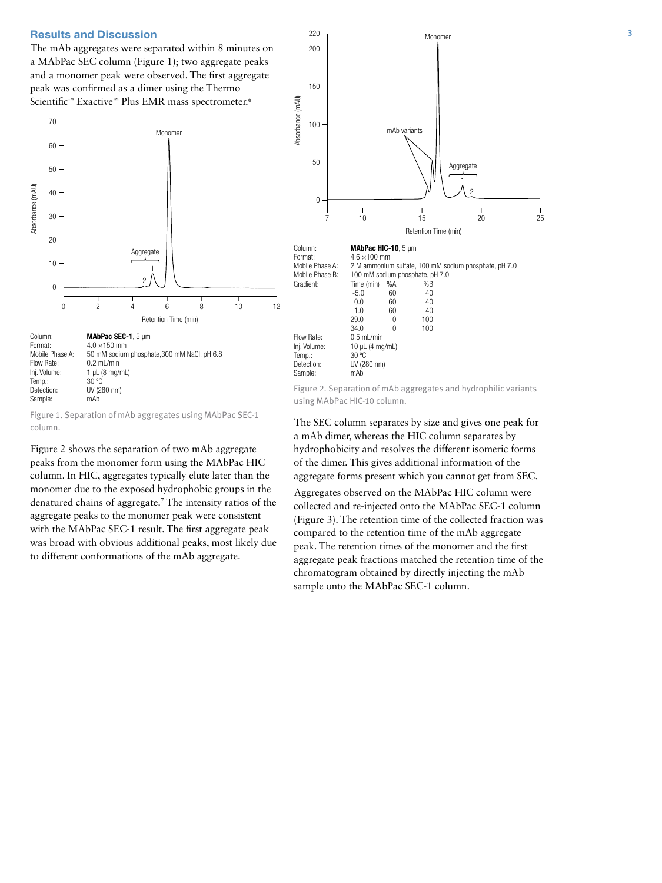The mAb aggregates were separated within 8 minutes on a MAbPac SEC column (Figure 1); two aggregate peaks and a monomer peak were observed. The first aggregate peak was confirmed as a dimer using the Thermo Scientific™ Exactive™ Plus EMR mass spectrometer.<sup>6</sup>



Figure 1. Separation of mAb aggregates using MAbPac SEC-1 column.

Figure 2 shows the separation of two mAb aggregate peaks from the monomer form using the MAbPac HIC column. In HIC, aggregates typically elute later than the monomer due to the exposed hydrophobic groups in the denatured chains of aggregate.7 The intensity ratios of the aggregate peaks to the monomer peak were consistent with the MAbPac SEC-1 result. The first aggregate peak was broad with obvious additional peaks, most likely due to different conformations of the mAb aggregate.



Figure 2. Separation of mAb aggregates and hydrophilic variants using MAbPac HIC-10 column.

The SEC column separates by size and gives one peak for a mAb dimer, whereas the HIC column separates by hydrophobicity and resolves the different isomeric forms of the dimer. This gives additional information of the aggregate forms present which you cannot get from SEC.

Aggregates observed on the MAbPac HIC column were collected and re-injected onto the MAbPac SEC-1 column (Figure 3). The retention time of the collected fraction was compared to the retention time of the mAb aggregate peak. The retention times of the monomer and the first aggregate peak fractions matched the retention time of the chromatogram obtained by directly injecting the mAb sample onto the MAbPac SEC-1 column.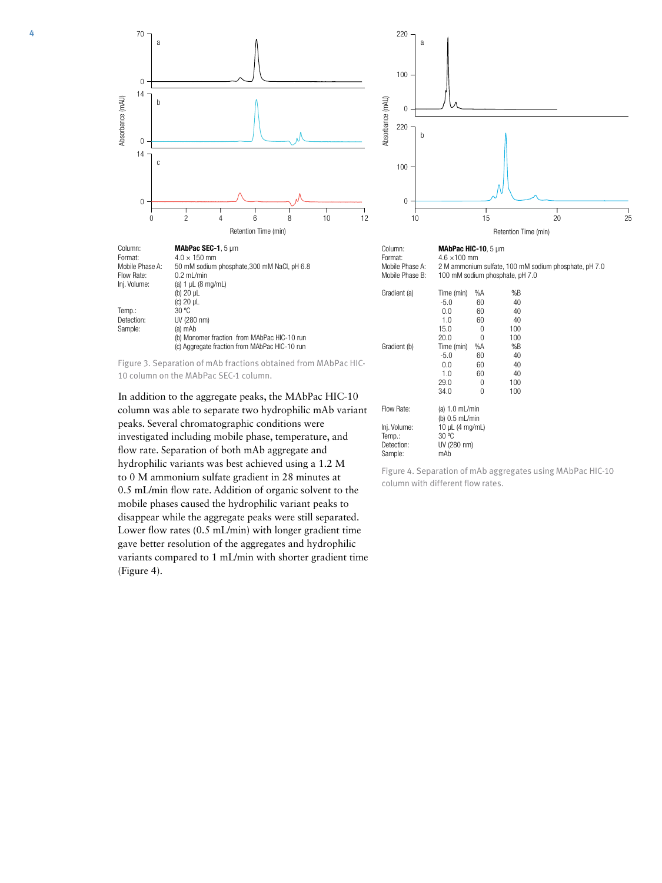

| Column:         | MAbPac SEC-1, 5 um                                              | Column:         | <b>MAbPac HIC-10.</b> $5 \mu m$ |    |     |
|-----------------|-----------------------------------------------------------------|-----------------|---------------------------------|----|-----|
| Format:         | $4.0 \times 150$ mm                                             | Format:         | $4.6 \times 100$ mm             |    |     |
| Mobile Phase A: | 50 mM sodium phosphate, 300 mM NaCl, pH 6.8                     | Mobile Phase A: | 2 M ammonium sulfate, 100 r     |    |     |
| Flow Rate:      | $0.2$ mL/min                                                    | Mobile Phase B: | 100 mM sodium phosphate, p      |    |     |
| Inj. Volume:    | (a) $1 \mu L$ (8 mg/mL)                                         |                 |                                 |    |     |
|                 | (b) $20 \mu L$                                                  | Gradient (a)    | Time (min)                      | %A | %B  |
|                 | (c) $20 \mu L$                                                  |                 | $-5.0$                          | 60 | 40  |
| Temp.:          | 30 °C                                                           |                 | 0.0                             | 60 | 40  |
| Detection:      | UV (280 nm)                                                     |                 | 1.0                             | 60 | 40  |
| Sample:         | (a) mAb                                                         |                 | 15.0                            | 0  | 100 |
|                 | (b) Monomer fraction from MAbPac HIC-10 run                     |                 | 20.0                            | O  | 100 |
|                 | (c) Aggregate fraction from MAbPac HIC-10 run                   | Gradient (b)    | Time (min)                      | %A | %B  |
|                 |                                                                 |                 | $-5.0$                          | 60 | 40  |
|                 | Figure 3. Separation of mAb fractions obtained from MAbPac HIC- |                 | 0.0                             | 60 | 40  |

10 column on the MAbPac SEC-1 column.

In addition to the aggregate peaks, the MAbPac HIC-10 column was able to separate two hydrophilic mAb variant peaks. Several chromatographic conditions were investigated including mobile phase, temperature, and flow rate. Separation of both mAb aggregate and hydrophilic variants was best achieved using a 1.2 M to 0 M ammonium sulfate gradient in 28 minutes at 0.5 mL/min flow rate. Addition of organic solvent to the mobile phases caused the hydrophilic variant peaks to disappear while the aggregate peaks were still separated. Lower flow rates (0.5 mL/min) with longer gradient time gave better resolution of the aggregates and hydrophilic variants compared to 1 mL/min with shorter gradient time (Figure 4).



 $P$ hase A:  $4.6 \times 100$  mm 2 M ammonium sulfate, 100 mM sodium phosphate, pH 7.0 Phase B: 100 mM sodium phosphate, pH 7.0

1.0 60 40<br>15.0 0 100  $\begin{array}{ccc} 15.0 & \hspace{1.5cm} 0 \\ 20.0 & \hspace{1.5cm} 0 \end{array}$  $\begin{array}{ccc} 0 & & 100 \\ \% \text{A} & & \% \text{B} \end{array}$ nt (b) Time (min) %A %B<br>-5.0 60 40 -5.0 60 40 0.0 60 40 1.0 60 40<br>29.0 0 100 29.0 0 100<br>34.0 0 100  $34.0$ Flow Rate: (a) 1.0 mL/min (b) 0.5 mL/min Inj. Volume:  $\frac{10}{10}$  µL (4 mg/mL)<br>Temp.: 30 °C Temp.:<br>Detection: UV (280 nm)<br>mAb Sample:

Figure 4. Separation of mAb aggregates using MAbPac HIC-10 column with different flow rates.